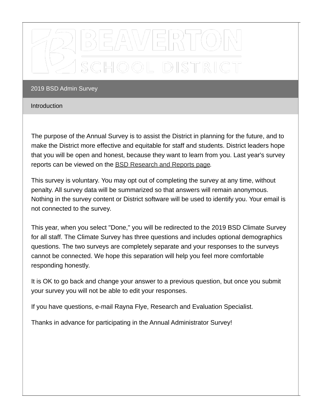

Introduction

The purpose of the Annual Survey is to assist the District in planning for the future, and to make the District more effective and equitable for staff and students. District leaders hope that you will be open and honest, because they want to learn from you. Last year's survey reports can be viewed on the BSD [Research](https://www.beaverton.k12.or.us/district/research-reports) and Reports page.

This survey is voluntary. You may opt out of completing the survey at any time, without penalty. All survey data will be summarized so that answers will remain anonymous. Nothing in the survey content or District software will be used to identify you. Your email is not connected to the survey.

This year, when you select "Done," you will be redirected to the 2019 BSD Climate Survey for all staff. The Climate Survey has three questions and includes optional demographics questions. The two surveys are completely separate and your responses to the surveys cannot be connected. We hope this separation will help you feel more comfortable responding honestly.

It is OK to go back and change your answer to a previous question, but once you submit your survey you will not be able to edit your responses.

If you have questions, e-mail Rayna Flye, Research and Evaluation Specialist.

Thanks in advance for participating in the Annual Administrator Survey!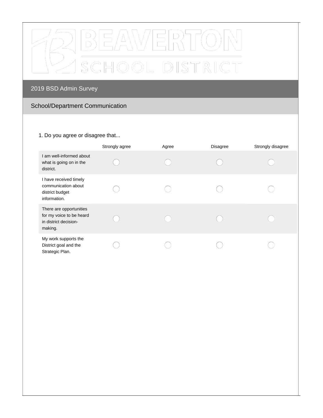

# School/Department Communication

### 1. Do you agree or disagree that...

|                                                                                         | Strongly agree | Agree | <b>Disagree</b> | Strongly disagree |
|-----------------------------------------------------------------------------------------|----------------|-------|-----------------|-------------------|
| I am well-informed about<br>what is going on in the<br>district.                        |                |       |                 |                   |
| I have received timely<br>communication about<br>district budget<br>information.        |                |       |                 |                   |
| There are opportunities<br>for my voice to be heard<br>in district decision-<br>making. |                |       |                 |                   |
| My work supports the<br>District goal and the<br>Strategic Plan.                        |                |       |                 |                   |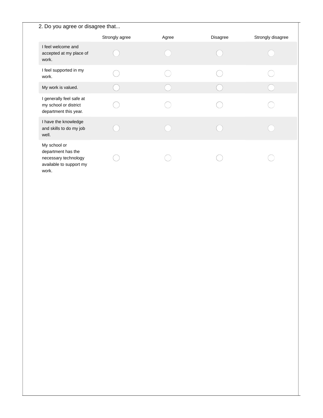# 2. Do you agree or disagree that...

|                                                                                                | Strongly agree | Agree | <b>Disagree</b> | Strongly disagree |
|------------------------------------------------------------------------------------------------|----------------|-------|-----------------|-------------------|
| I feel welcome and<br>accepted at my place of<br>work.                                         |                |       |                 |                   |
| I feel supported in my<br>work.                                                                |                |       |                 |                   |
| My work is valued.                                                                             |                |       |                 |                   |
| I generally feel safe at<br>my school or district<br>department this year.                     |                |       |                 |                   |
| I have the knowledge<br>and skills to do my job<br>well.                                       |                |       |                 |                   |
| My school or<br>department has the<br>necessary technology<br>available to support my<br>work. |                |       |                 |                   |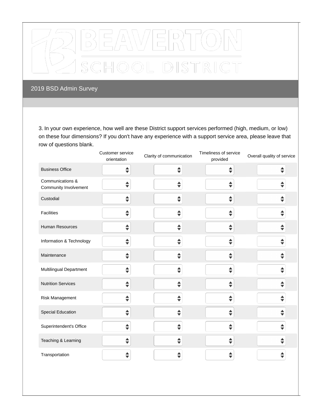

3. In your own experience, how well are these District support services performed (high, medium, or low) on these four dimensions? If you don't have any experience with a support service area, please leave that row of questions blank.

|                                           | Customer service<br>orientation | Clarity of communication | Timeliness of service<br>provided | Overall quality of service    |
|-------------------------------------------|---------------------------------|--------------------------|-----------------------------------|-------------------------------|
| <b>Business Office</b>                    | ▼                               | $\checkmark$             | $\checkmark$                      | $\check{}$                    |
| Communications &<br>Community Involvement |                                 |                          |                                   |                               |
| Custodial                                 | ⇡                               | ▲                        | ▲<br>$\checkmark$                 | ▲                             |
| <b>Facilities</b>                         |                                 |                          |                                   |                               |
| Human Resources                           | ♦                               | ▲                        | ▲                                 | ▲                             |
| Information & Technology                  | $\overline{\phantom{a}}$        |                          |                                   |                               |
| Maintenance                               | ♦                               | ▲                        | ▲<br>▼                            |                               |
| Multilingual Department                   | ▼                               |                          |                                   |                               |
| <b>Nutrition Services</b>                 | ♦                               | $\overline{\phantom{a}}$ | ▴<br>$\overline{\phantom{a}}$     | ▲<br>⇁                        |
| Risk Management                           |                                 |                          |                                   |                               |
| <b>Special Education</b>                  | ▲<br>▼                          | $\overline{\phantom{a}}$ | ▲<br>$\checkmark$                 | ▲<br>$\overline{\phantom{a}}$ |
| Superintendent's Office                   |                                 |                          |                                   |                               |
| Teaching & Learning                       | ▲<br>$\overline{\phantom{a}}$   | ▲                        | ▲<br>$\checkmark$                 | ▴                             |
| Transportation                            |                                 |                          |                                   |                               |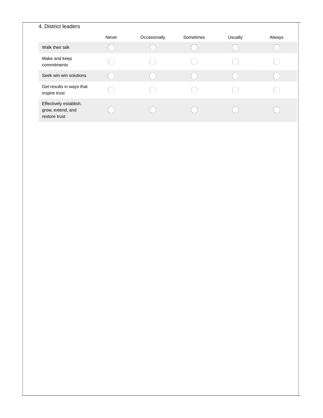# 4. District leaders

|                                                              | Never | Occasionally | Sometimes | Usually | Always |
|--------------------------------------------------------------|-------|--------------|-----------|---------|--------|
| Walk their talk                                              |       |              |           |         |        |
| Make and keep<br>commitments                                 |       |              |           |         |        |
| Seek win-win solutions                                       |       |              |           |         |        |
| Get results in ways that<br>inspire trust                    |       |              |           |         |        |
| Effectively establish,<br>grow, extend, and<br>restore trust |       |              |           |         |        |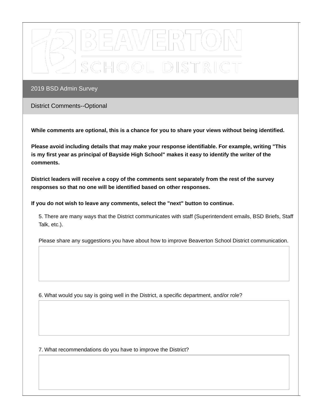

District Comments--Optional

**While comments are optional, this is a chance for you to share your views without being identified.**

**Please avoid including details that may make your response identifiable. For example, writing "This** is my first year as principal of Bayside High School" makes it easy to identify the writer of the **comments.**

**District leaders will receive a copy of the comments sent separately from the rest of the survey responses so that no one will be identified based on other responses.**

**If you do not wish to leave any comments, select the "next" button to continue.**

5. There are many ways that the District communicates with staff (Superintendent emails, BSD Briefs, Staff Talk, etc.).

Please share any suggestions you have about how to improve Beaverton School District communication.

6. What would you say is going well in the District, a specific department, and/or role?

7. What recommendations do you have to improve the District?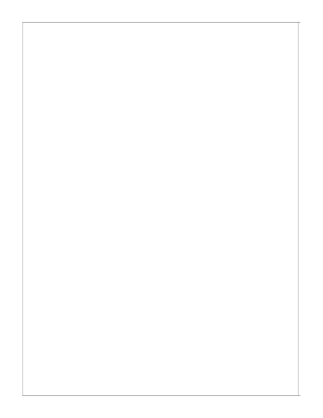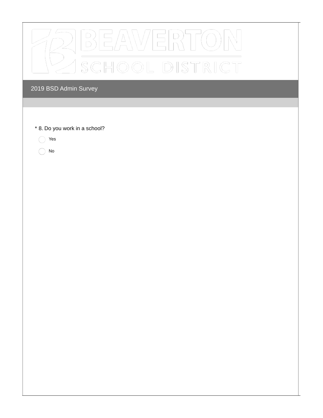

| 2019 BSD Admin Survey         |
|-------------------------------|
|                               |
|                               |
| * 8. Do you work in a school? |
| $\operatorname{\mathsf{Yes}}$ |
| ${\sf No}$                    |
|                               |
|                               |
|                               |
|                               |
|                               |
|                               |
|                               |
|                               |
|                               |
|                               |
|                               |
|                               |
|                               |
|                               |
|                               |
|                               |
|                               |
|                               |
|                               |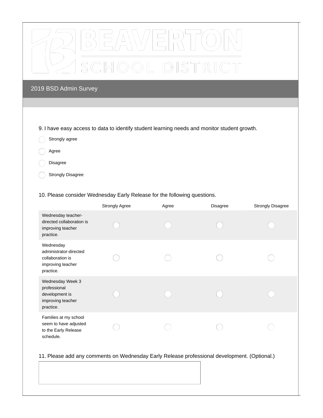

#### 9. I have easy access to data to identify student learning needs and monitor student growth.

- Strongly agree
- Agree
- Disagree
- Strongly Disagree

### 10. Please consider Wednesday Early Release for the following questions.

|                                                                                           | <b>Strongly Agree</b> | Agree | <b>Disagree</b> | <b>Strongly Disagree</b> |
|-------------------------------------------------------------------------------------------|-----------------------|-------|-----------------|--------------------------|
| Wednesday teacher-<br>directed collaboration is<br>improving teacher<br>practice.         |                       |       |                 |                          |
| Wednesday<br>administrator-directed<br>collaboration is<br>improving teacher<br>practice. |                       |       |                 |                          |
| Wednesday Week 3<br>professional<br>development is<br>improving teacher<br>practice.      |                       |       |                 |                          |
| Families at my school<br>seem to have adjusted<br>to the Early Release<br>schedule.       |                       |       |                 |                          |

### 11. Please add any comments on Wednesday Early Release professional development. (Optional.)